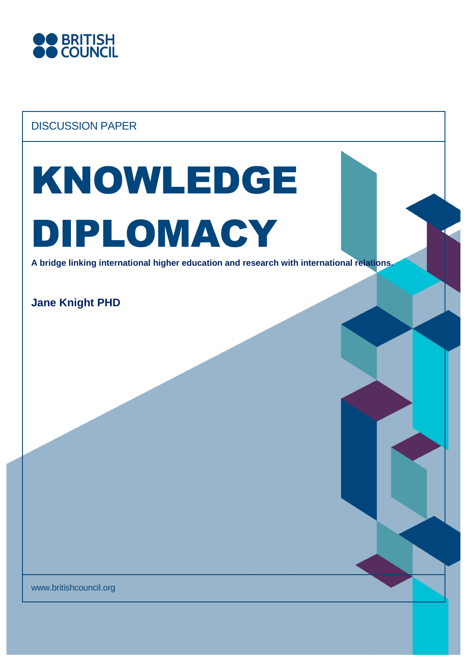

# DISCUSSION PAPER

# KNOWLEDGE DIPLOMACY

**A bridge linking international higher education and research with international relations.**

**Jane Knight PHD**

www.britishcouncil.org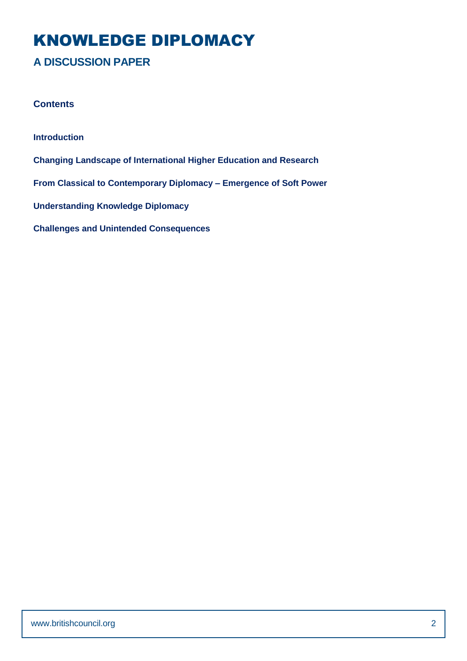# KNOWLEDGE DIPLOMACY

# **A DISCUSSION PAPER**

#### **Contents**

**Introduction Changing Landscape of International Higher Education and Research From Classical to Contemporary Diplomacy – Emergence of Soft Power Understanding Knowledge Diplomacy**

**Challenges and Unintended Consequences**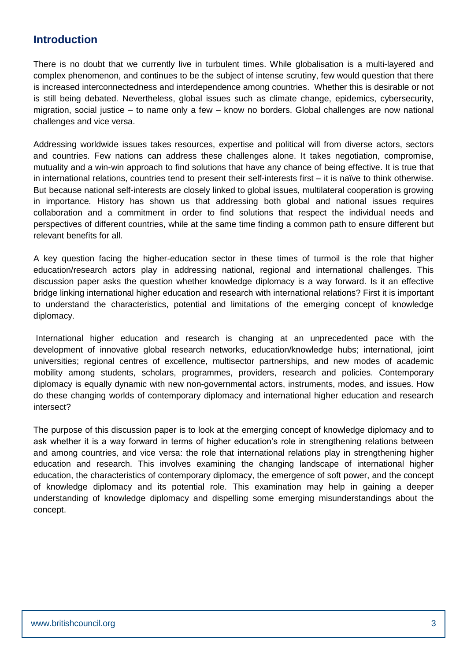## **Introduction**

There is no doubt that we currently live in turbulent times. While globalisation is a multi-layered and complex phenomenon, and continues to be the subject of intense scrutiny, few would question that there is increased interconnectedness and interdependence among countries. Whether this is desirable or not is still being debated. Nevertheless, global issues such as climate change, epidemics, cybersecurity, migration, social justice – to name only a few – know no borders. Global challenges are now national challenges and vice versa.

Addressing worldwide issues takes resources, expertise and political will from diverse actors, sectors and countries. Few nations can address these challenges alone. It takes negotiation, compromise, mutuality and a win-win approach to find solutions that have any chance of being effective. It is true that in international relations, countries tend to present their self-interests first – it is naïve to think otherwise. But because national self-interests are closely linked to global issues, multilateral cooperation is growing in importance. History has shown us that addressing both global and national issues requires collaboration and a commitment in order to find solutions that respect the individual needs and perspectives of different countries, while at the same time finding a common path to ensure different but relevant benefits for all.

A key question facing the higher-education sector in these times of turmoil is the role that higher education/research actors play in addressing national, regional and international challenges. This discussion paper asks the question whether knowledge diplomacy is a way forward. Is it an effective bridge linking international higher education and research with international relations? First it is important to understand the characteristics, potential and limitations of the emerging concept of knowledge diplomacy.

International higher education and research is changing at an unprecedented pace with the development of innovative global research networks, education/knowledge hubs; international, joint universities; regional centres of excellence, multisector partnerships, and new modes of academic mobility among students, scholars, programmes, providers, research and policies. Contemporary diplomacy is equally dynamic with new non-governmental actors, instruments, modes, and issues. How do these changing worlds of contemporary diplomacy and international higher education and research intersect?

The purpose of this discussion paper is to look at the emerging concept of knowledge diplomacy and to ask whether it is a way forward in terms of higher education's role in strengthening relations between and among countries, and vice versa: the role that international relations play in strengthening higher education and research. This involves examining the changing landscape of international higher education, the characteristics of contemporary diplomacy, the emergence of soft power, and the concept of knowledge diplomacy and its potential role. This examination may help in gaining a deeper understanding of knowledge diplomacy and dispelling some emerging misunderstandings about the concept.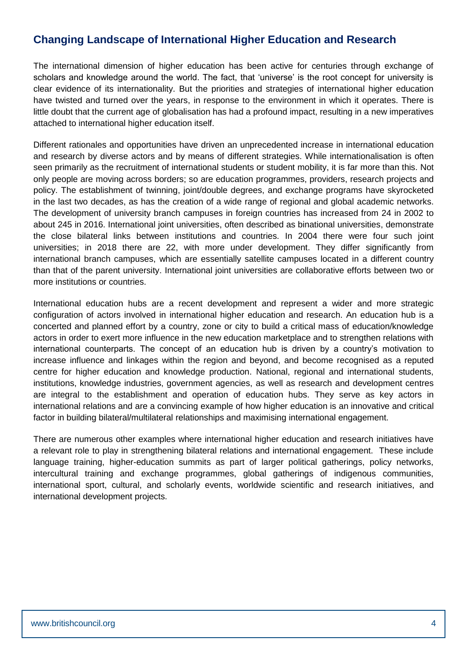# **Changing Landscape of International Higher Education and Research**

The international dimension of higher education has been active for centuries through exchange of scholars and knowledge around the world. The fact, that 'universe' is the root concept for university is clear evidence of its internationality. But the priorities and strategies of international higher education have twisted and turned over the years, in response to the environment in which it operates. There is little doubt that the current age of globalisation has had a profound impact, resulting in a new imperatives attached to international higher education itself.

Different rationales and opportunities have driven an unprecedented increase in international education and research by diverse actors and by means of different strategies. While internationalisation is often seen primarily as the recruitment of international students or student mobility, it is far more than this. Not only people are moving across borders; so are education programmes, providers, research projects and policy. The establishment of twinning, joint/double degrees, and exchange programs have skyrocketed in the last two decades, as has the creation of a wide range of regional and global academic networks. The development of university branch campuses in foreign countries has increased from 24 in 2002 to about 245 in 2016. International joint universities, often described as binational universities, demonstrate the close bilateral links between institutions and countries. In 2004 there were four such joint universities; in 2018 there are 22, with more under development. They differ significantly from international branch campuses, which are essentially satellite campuses located in a different country than that of the parent university. International joint universities are collaborative efforts between two or more institutions or countries.

International education hubs are a recent development and represent a wider and more strategic configuration of actors involved in international higher education and research. An education hub is a concerted and planned effort by a country, zone or city to build a critical mass of education/knowledge actors in order to exert more influence in the new education marketplace and to strengthen relations with international counterparts. The concept of an education hub is driven by a country's motivation to increase influence and linkages within the region and beyond, and become recognised as a reputed centre for higher education and knowledge production. National, regional and international students, institutions, knowledge industries, government agencies, as well as research and development centres are integral to the establishment and operation of education hubs. They serve as key actors in international relations and are a convincing example of how higher education is an innovative and critical factor in building bilateral/multilateral relationships and maximising international engagement.

There are numerous other examples where international higher education and research initiatives have a relevant role to play in strengthening bilateral relations and international engagement. These include language training, higher-education summits as part of larger political gatherings, policy networks, intercultural training and exchange programmes, global gatherings of indigenous communities, international sport, cultural, and scholarly events, worldwide scientific and research initiatives, and international development projects.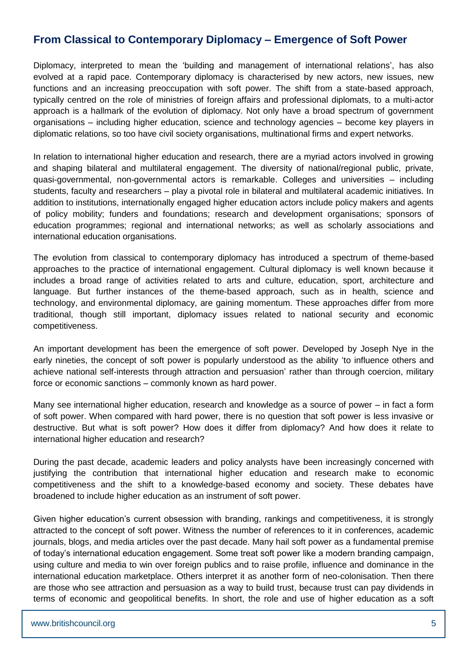# **From Classical to Contemporary Diplomacy – Emergence of Soft Power**

Diplomacy, interpreted to mean the 'building and management of international relations', has also evolved at a rapid pace. Contemporary diplomacy is characterised by new actors, new issues, new functions and an increasing preoccupation with soft power. The shift from a state-based approach, typically centred on the role of ministries of foreign affairs and professional diplomats, to a multi-actor approach is a hallmark of the evolution of diplomacy. Not only have a broad spectrum of government organisations – including higher education, science and technology agencies – become key players in diplomatic relations, so too have civil society organisations, multinational firms and expert networks.

In relation to international higher education and research, there are a myriad actors involved in growing and shaping bilateral and multilateral engagement. The diversity of national/regional public, private, quasi-governmental, non-governmental actors is remarkable. Colleges and universities – including students, faculty and researchers – play a pivotal role in bilateral and multilateral academic initiatives. In addition to institutions, internationally engaged higher education actors include policy makers and agents of policy mobility; funders and foundations; research and development organisations; sponsors of education programmes; regional and international networks; as well as scholarly associations and international education organisations.

The evolution from classical to contemporary diplomacy has introduced a spectrum of theme-based approaches to the practice of international engagement. Cultural diplomacy is well known because it includes a broad range of activities related to arts and culture, education, sport, architecture and language. But further instances of the theme-based approach, such as in health, science and technology, and environmental diplomacy, are gaining momentum. These approaches differ from more traditional, though still important, diplomacy issues related to national security and economic competitiveness.

An important development has been the emergence of soft power. Developed by Joseph Nye in the early nineties, the concept of soft power is popularly understood as the ability 'to influence others and achieve national self-interests through attraction and persuasion' rather than through coercion, military force or economic sanctions – commonly known as hard power.

Many see international higher education, research and knowledge as a source of power – in fact a form of soft power. When compared with hard power, there is no question that soft power is less invasive or destructive. But what is soft power? How does it differ from diplomacy? And how does it relate to international higher education and research?

During the past decade, academic leaders and policy analysts have been increasingly concerned with justifying the contribution that international higher education and research make to economic competitiveness and the shift to a knowledge-based economy and society. These debates have broadened to include higher education as an instrument of soft power.

Given higher education's current obsession with branding, rankings and competitiveness, it is strongly attracted to the concept of soft power. Witness the number of references to it in conferences, academic journals, blogs, and media articles over the past decade. Many hail soft power as a fundamental premise of today's international education engagement. Some treat soft power like a modern branding campaign, using culture and media to win over foreign publics and to raise profile, influence and dominance in the international education marketplace. Others interpret it as another form of neo-colonisation. Then there are those who see attraction and persuasion as a way to build trust, because trust can pay dividends in terms of economic and geopolitical benefits. In short, the role and use of higher education as a soft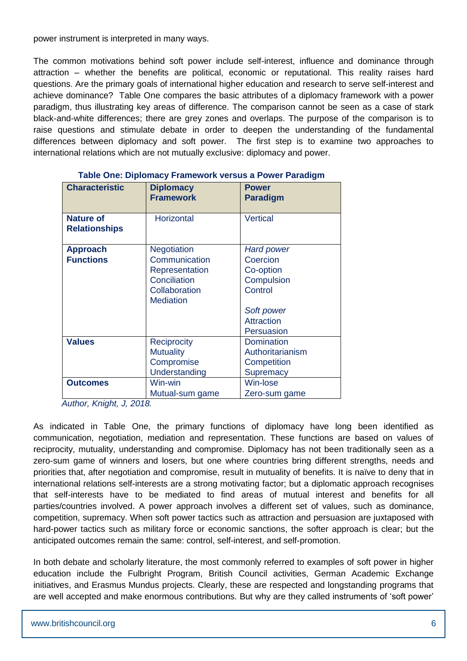power instrument is interpreted in many ways.

The common motivations behind soft power include self-interest, influence and dominance through attraction – whether the benefits are political, economic or reputational. This reality raises hard questions. Are the primary goals of international higher education and research to serve self-interest and achieve dominance? Table One compares the basic attributes of a diplomacy framework with a power paradigm, thus illustrating key areas of difference. The comparison cannot be seen as a case of stark black-and-white differences; there are grey zones and overlaps. The purpose of the comparison is to raise questions and stimulate debate in order to deepen the understanding of the fundamental differences between diplomacy and soft power. The first step is to examine two approaches to international relations which are not mutually exclusive: diplomacy and power.

| <b>Characteristic</b>                    | <b>Diplomacy</b><br><b>Framework</b>                                                                       | <b>Power</b><br><b>Paradigm</b>                                                                                      |
|------------------------------------------|------------------------------------------------------------------------------------------------------------|----------------------------------------------------------------------------------------------------------------------|
| <b>Nature of</b><br><b>Relationships</b> | Horizontal                                                                                                 | <b>Vertical</b>                                                                                                      |
| <b>Approach</b><br><b>Functions</b>      | <b>Negotiation</b><br>Communication<br>Representation<br>Conciliation<br>Collaboration<br><b>Mediation</b> | <b>Hard power</b><br>Coercion<br>Co-option<br>Compulsion<br>Control<br>Soft power<br><b>Attraction</b><br>Persuasion |
| <b>Values</b>                            | <b>Reciprocity</b><br><b>Mutuality</b><br>Compromise<br>Understanding                                      | Domination<br>Authoritarianism<br>Competition<br><b>Supremacy</b>                                                    |
| <b>Outcomes</b>                          | Win-win<br>Mutual-sum game                                                                                 | Win-lose<br>Zero-sum game                                                                                            |

#### **Table One: Diplomacy Framework versus a Power Paradigm**

*Author, Knight, J, 2018.*

As indicated in Table One, the primary functions of diplomacy have long been identified as communication, negotiation, mediation and representation. These functions are based on values of reciprocity, mutuality, understanding and compromise. Diplomacy has not been traditionally seen as a zero-sum game of winners and losers, but one where countries bring different strengths, needs and priorities that, after negotiation and compromise, result in mutuality of benefits. It is naïve to deny that in international relations self-interests are a strong motivating factor; but a diplomatic approach recognises that self-interests have to be mediated to find areas of mutual interest and benefits for all parties/countries involved. A power approach involves a different set of values, such as dominance, competition, supremacy. When soft power tactics such as attraction and persuasion are juxtaposed with hard-power tactics such as military force or economic sanctions, the softer approach is clear; but the anticipated outcomes remain the same: control, self-interest, and self-promotion.

In both debate and scholarly literature, the most commonly referred to examples of soft power in higher education include the Fulbright Program, British Council activities, German Academic Exchange initiatives, and Erasmus Mundus projects. Clearly, these are respected and longstanding programs that are well accepted and make enormous contributions. But why are they called instruments of 'soft power'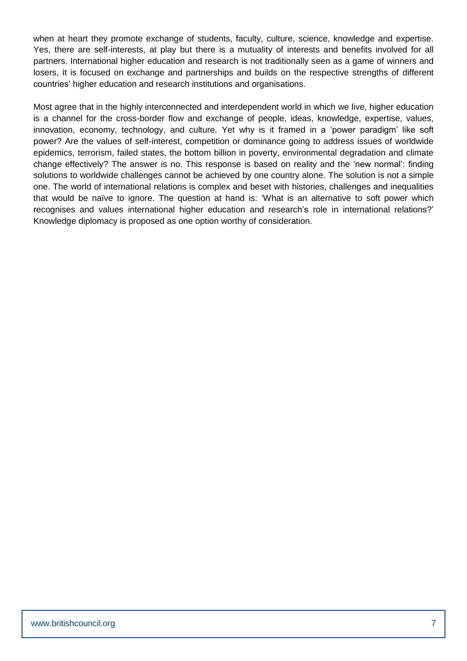when at heart they promote exchange of students, faculty, culture, science, knowledge and expertise. Yes, there are self-interests, at play but there is a mutuality of interests and benefits involved for all partners. International higher education and research is not traditionally seen as a game of winners and losers, it is focused on exchange and partnerships and builds on the respective strengths of different countries' higher education and research institutions and organisations.

Most agree that in the highly interconnected and interdependent world in which we live, higher education is a channel for the cross-border flow and exchange of people, ideas, knowledge, expertise, values, innovation, economy, technology, and culture. Yet why is it framed in a 'power paradigm' like soft power? Are the values of self-interest, competition or dominance going to address issues of worldwide epidemics, terrorism, failed states, the bottom billion in poverty, environmental degradation and climate change effectively? The answer is no. This response is based on reality and the 'new normal': finding solutions to worldwide challenges cannot be achieved by one country alone. The solution is not a simple one. The world of international relations is complex and beset with histories, challenges and inequalities that would be naïve to ignore. The question at hand is: 'What is an alternative to soft power which recognises and values international higher education and research's role in international relations?' Knowledge diplomacy is proposed as one option worthy of consideration.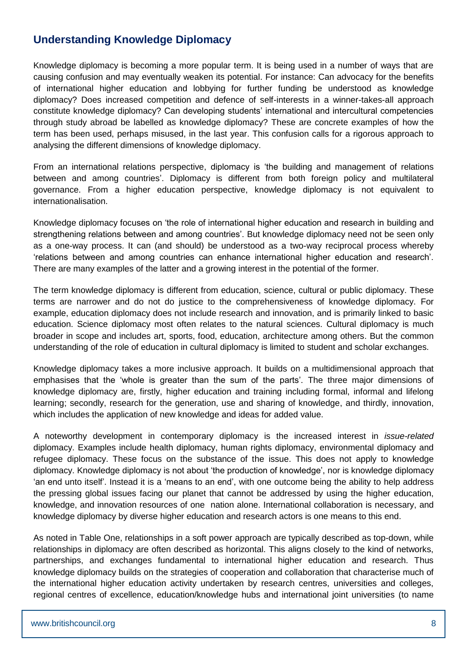# **Understanding Knowledge Diplomacy**

Knowledge diplomacy is becoming a more popular term. It is being used in a number of ways that are causing confusion and may eventually weaken its potential. For instance: Can advocacy for the benefits of international higher education and lobbying for further funding be understood as knowledge diplomacy? Does increased competition and defence of self-interests in a winner-takes-all approach constitute knowledge diplomacy? Can developing students' international and intercultural competencies through study abroad be labelled as knowledge diplomacy? These are concrete examples of how the term has been used, perhaps misused, in the last year. This confusion calls for a rigorous approach to analysing the different dimensions of knowledge diplomacy.

From an international relations perspective, diplomacy is 'the building and management of relations between and among countries'. Diplomacy is different from both foreign policy and multilateral governance. From a higher education perspective, knowledge diplomacy is not equivalent to internationalisation.

Knowledge diplomacy focuses on 'the role of international higher education and research in building and strengthening relations between and among countries'. But knowledge diplomacy need not be seen only as a one-way process. It can (and should) be understood as a two-way reciprocal process whereby 'relations between and among countries can enhance international higher education and research'. There are many examples of the latter and a growing interest in the potential of the former.

The term knowledge diplomacy is different from education, science, cultural or public diplomacy. These terms are narrower and do not do justice to the comprehensiveness of knowledge diplomacy. For example, education diplomacy does not include research and innovation, and is primarily linked to basic education. Science diplomacy most often relates to the natural sciences. Cultural diplomacy is much broader in scope and includes art, sports, food, education, architecture among others. But the common understanding of the role of education in cultural diplomacy is limited to student and scholar exchanges.

Knowledge diplomacy takes a more inclusive approach. It builds on a multidimensional approach that emphasises that the 'whole is greater than the sum of the parts'. The three major dimensions of knowledge diplomacy are, firstly, higher education and training including formal, informal and lifelong learning; secondly, research for the generation, use and sharing of knowledge, and thirdly, innovation, which includes the application of new knowledge and ideas for added value.

A noteworthy development in contemporary diplomacy is the increased interest in *issue-related* diplomacy. Examples include health diplomacy, human rights diplomacy, environmental diplomacy and refugee diplomacy. These focus on the substance of the issue. This does not apply to knowledge diplomacy. Knowledge diplomacy is not about 'the production of knowledge', nor is knowledge diplomacy 'an end unto itself'. Instead it is a 'means to an end', with one outcome being the ability to help address the pressing global issues facing our planet that cannot be addressed by using the higher education, knowledge, and innovation resources of one nation alone. International collaboration is necessary, and knowledge diplomacy by diverse higher education and research actors is one means to this end.

As noted in Table One, relationships in a soft power approach are typically described as top-down, while relationships in diplomacy are often described as horizontal. This aligns closely to the kind of networks, partnerships, and exchanges fundamental to international higher education and research. Thus knowledge diplomacy builds on the strategies of cooperation and collaboration that characterise much of the international higher education activity undertaken by research centres, universities and colleges, regional centres of excellence, education/knowledge hubs and international joint universities (to name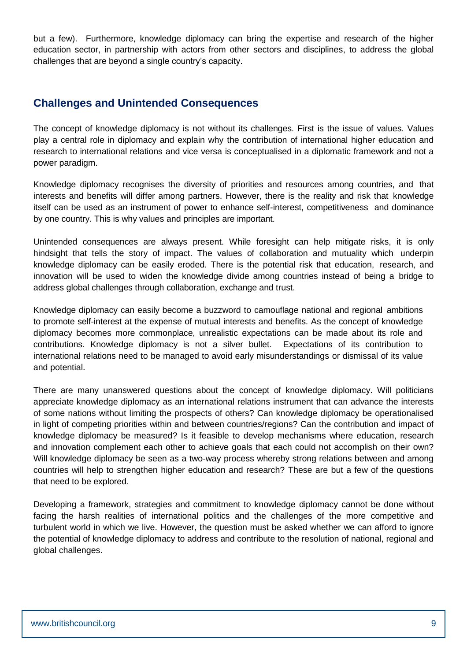but a few). Furthermore, knowledge diplomacy can bring the expertise and research of the higher education sector, in partnership with actors from other sectors and disciplines, to address the global challenges that are beyond a single country's capacity.

## **Challenges and Unintended Consequences**

The concept of knowledge diplomacy is not without its challenges. First is the issue of values. Values play a central role in diplomacy and explain why the contribution of international higher education and research to international relations and vice versa is conceptualised in a diplomatic framework and not a power paradigm.

Knowledge diplomacy recognises the diversity of priorities and resources among countries, and that interests and benefits will differ among partners. However, there is the reality and risk that knowledge itself can be used as an instrument of power to enhance self-interest, competitiveness and dominance by one country. This is why values and principles are important.

Unintended consequences are always present. While foresight can help mitigate risks, it is only hindsight that tells the story of impact. The values of collaboration and mutuality which underpin knowledge diplomacy can be easily eroded. There is the potential risk that education, research, and innovation will be used to widen the knowledge divide among countries instead of being a bridge to address global challenges through collaboration, exchange and trust.

Knowledge diplomacy can easily become a buzzword to camouflage national and regional ambitions to promote self-interest at the expense of mutual interests and benefits. As the concept of knowledge diplomacy becomes more commonplace, unrealistic expectations can be made about its role and contributions. Knowledge diplomacy is not a silver bullet. Expectations of its contribution to international relations need to be managed to avoid early misunderstandings or dismissal of its value and potential.

There are many unanswered questions about the concept of knowledge diplomacy. Will politicians appreciate knowledge diplomacy as an international relations instrument that can advance the interests of some nations without limiting the prospects of others? Can knowledge diplomacy be operationalised in light of competing priorities within and between countries/regions? Can the contribution and impact of knowledge diplomacy be measured? Is it feasible to develop mechanisms where education, research and innovation complement each other to achieve goals that each could not accomplish on their own? Will knowledge diplomacy be seen as a two-way process whereby strong relations between and among countries will help to strengthen higher education and research? These are but a few of the questions that need to be explored.

Developing a framework, strategies and commitment to knowledge diplomacy cannot be done without facing the harsh realities of international politics and the challenges of the more competitive and turbulent world in which we live. However, the question must be asked whether we can afford to ignore the potential of knowledge diplomacy to address and contribute to the resolution of national, regional and global challenges.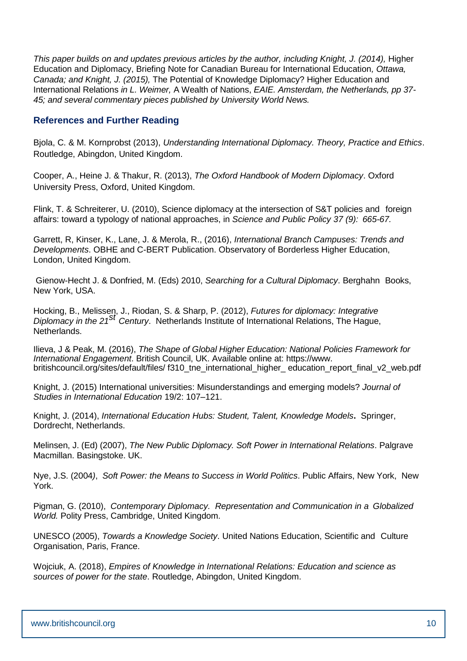*This paper builds on and updates previous articles by the author, including Knight, J. (2014),* Higher Education and Diplomacy, Briefing Note for Canadian Bureau for International Education*, Ottawa, Canada; and Knight, J. (2015),* The Potential of Knowledge Diplomacy? Higher Education and International Relations *in L. Weimer,* A Wealth of Nations, *EAIE. Amsterdam, the Netherlands, pp 37- 45; and several commentary pieces published by University World News.*

#### **References and Further Reading**

Bjola, C. & M. Kornprobst (2013), *Understanding International Diplomacy. Theory, Practice and Ethics*. Routledge, Abingdon, United Kingdom.

Cooper, A., Heine J. & Thakur, R. (2013), *The Oxford Handbook of Modern Diplomacy*. Oxford University Press, Oxford, United Kingdom.

Flink, T. & Schreiterer, U. (2010), Science diplomacy at the intersection of S&T policies and foreign affairs: toward a typology of national approaches, in *Science and Public Policy 37 (9): 665-67.*

Garrett, R, Kinser, K., Lane, J. & Merola, R., (2016), *International Branch Campuses: Trends and Developments*. OBHE and C-BERT Publication. Observatory of Borderless Higher Education, London, United Kingdom.

Gienow-Hecht J. & Donfried, M. (Eds) 2010, *Searching for a Cultural Diplomacy*. Berghahn Books, New York, USA.

Hocking, B., Melissen, J., Riodan, S. & Sharp, P. (2012), *Futures for diplomacy: Integrative Diplomacy in the 21st Century*. Netherlands Institute of International Relations, The Hague, Netherlands.

Ilieva, J & Peak, M. (2016), *The Shape of Global Higher Education: National Policies Framework for International Engagement*. British Council, UK. Available online at: https://www. britishcouncil.org/sites/default/files/ f310\_tne\_international\_higher\_ education\_report\_final\_v2\_web.pdf

Knight, J. (2015) International universities: Misunderstandings and emerging models? *Journal of Studies in International Education* 19/2: 107–121.

Knight, J. (2014), *International Education Hubs: Student, Talent, Knowledge Models***.** Springer, Dordrecht, Netherlands.

Melinsen, J. (Ed) (2007), *The New Public Diplomacy. Soft Power in International Relations*. Palgrave Macmillan. Basingstoke. UK.

Nye, J.S. (2004*)*, *Soft Power: the Means to Success in World Politics*. Public Affairs, New York, New York.

Pigman, G. (2010), *Contemporary Diplomacy. Representation and Communication in a Globalized World.* Polity Press, Cambridge, United Kingdom.

UNESCO (2005), *Towards a Knowledge Society*. United Nations Education, Scientific and Culture Organisation, Paris, France.

Wojciuk, A. (2018), *Empires of Knowledge in International Relations: Education and science as sources of power for the state*. Routledge, Abingdon, United Kingdom.